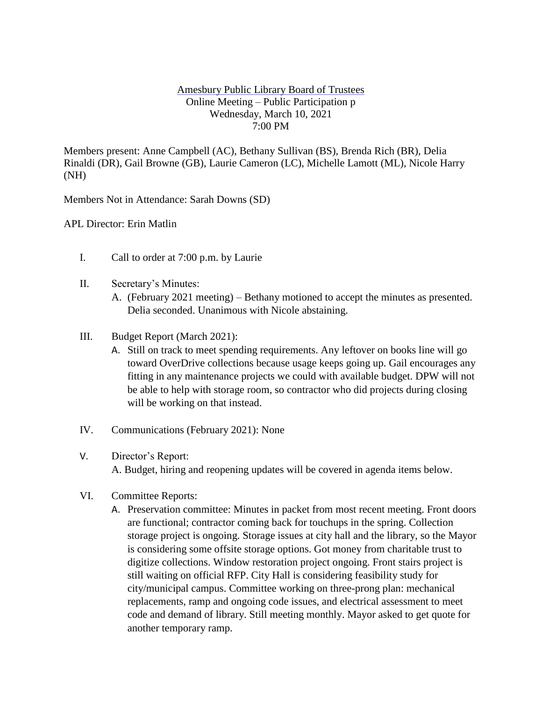## Amesbury Public Library Board of Trustees Online Meeting – Public Participation p Wednesday, March 10, 2021 7:00 PM

Members present: Anne Campbell (AC), Bethany Sullivan (BS), Brenda Rich (BR), Delia Rinaldi (DR), Gail Browne (GB), Laurie Cameron (LC), Michelle Lamott (ML), Nicole Harry (NH)

Members Not in Attendance: Sarah Downs (SD)

APL Director: Erin Matlin

- I. Call to order at 7:00 p.m. by Laurie
- II. Secretary's Minutes:
	- A. (February 2021 meeting) Bethany motioned to accept the minutes as presented. Delia seconded. Unanimous with Nicole abstaining.
- III. Budget Report (March 2021):
	- A. Still on track to meet spending requirements. Any leftover on books line will go toward OverDrive collections because usage keeps going up. Gail encourages any fitting in any maintenance projects we could with available budget. DPW will not be able to help with storage room, so contractor who did projects during closing will be working on that instead.
- IV. Communications (February 2021): None
- V. Director's Report: A. Budget, hiring and reopening updates will be covered in agenda items below.
- VI. Committee Reports:
	- A. Preservation committee: Minutes in packet from most recent meeting. Front doors are functional; contractor coming back for touchups in the spring. Collection storage project is ongoing. Storage issues at city hall and the library, so the Mayor is considering some offsite storage options. Got money from charitable trust to digitize collections. Window restoration project ongoing. Front stairs project is still waiting on official RFP. City Hall is considering feasibility study for city/municipal campus. Committee working on three-prong plan: mechanical replacements, ramp and ongoing code issues, and electrical assessment to meet code and demand of library. Still meeting monthly. Mayor asked to get quote for another temporary ramp.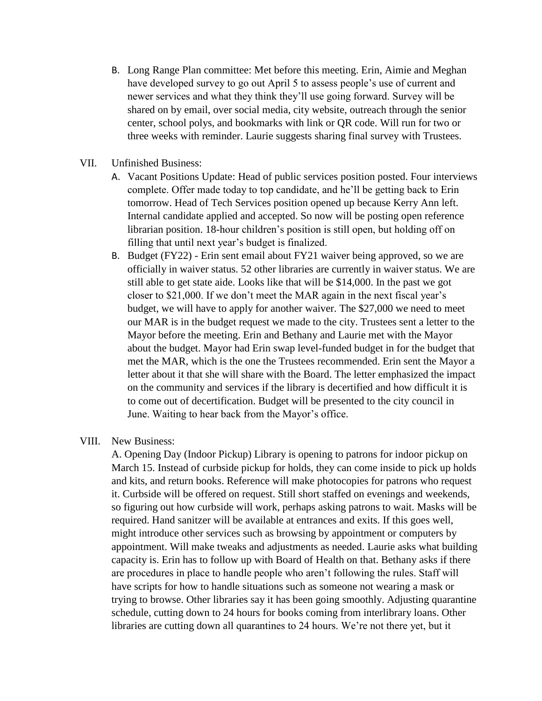- B. Long Range Plan committee: Met before this meeting. Erin, Aimie and Meghan have developed survey to go out April 5 to assess people's use of current and newer services and what they think they'll use going forward. Survey will be shared on by email, over social media, city website, outreach through the senior center, school polys, and bookmarks with link or QR code. Will run for two or three weeks with reminder. Laurie suggests sharing final survey with Trustees.
- VII. Unfinished Business:
	- A. Vacant Positions Update: Head of public services position posted. Four interviews complete. Offer made today to top candidate, and he'll be getting back to Erin tomorrow. Head of Tech Services position opened up because Kerry Ann left. Internal candidate applied and accepted. So now will be posting open reference librarian position. 18-hour children's position is still open, but holding off on filling that until next year's budget is finalized.
	- B. Budget (FY22) Erin sent email about FY21 waiver being approved, so we are officially in waiver status. 52 other libraries are currently in waiver status. We are still able to get state aide. Looks like that will be \$14,000. In the past we got closer to \$21,000. If we don't meet the MAR again in the next fiscal year's budget, we will have to apply for another waiver. The \$27,000 we need to meet our MAR is in the budget request we made to the city. Trustees sent a letter to the Mayor before the meeting. Erin and Bethany and Laurie met with the Mayor about the budget. Mayor had Erin swap level-funded budget in for the budget that met the MAR, which is the one the Trustees recommended. Erin sent the Mayor a letter about it that she will share with the Board. The letter emphasized the impact on the community and services if the library is decertified and how difficult it is to come out of decertification. Budget will be presented to the city council in June. Waiting to hear back from the Mayor's office.

## VIII. New Business:

A. Opening Day (Indoor Pickup) Library is opening to patrons for indoor pickup on March 15. Instead of curbside pickup for holds, they can come inside to pick up holds and kits, and return books. Reference will make photocopies for patrons who request it. Curbside will be offered on request. Still short staffed on evenings and weekends, so figuring out how curbside will work, perhaps asking patrons to wait. Masks will be required. Hand sanitzer will be available at entrances and exits. If this goes well, might introduce other services such as browsing by appointment or computers by appointment. Will make tweaks and adjustments as needed. Laurie asks what building capacity is. Erin has to follow up with Board of Health on that. Bethany asks if there are procedures in place to handle people who aren't following the rules. Staff will have scripts for how to handle situations such as someone not wearing a mask or trying to browse. Other libraries say it has been going smoothly. Adjusting quarantine schedule, cutting down to 24 hours for books coming from interlibrary loans. Other libraries are cutting down all quarantines to 24 hours. We're not there yet, but it